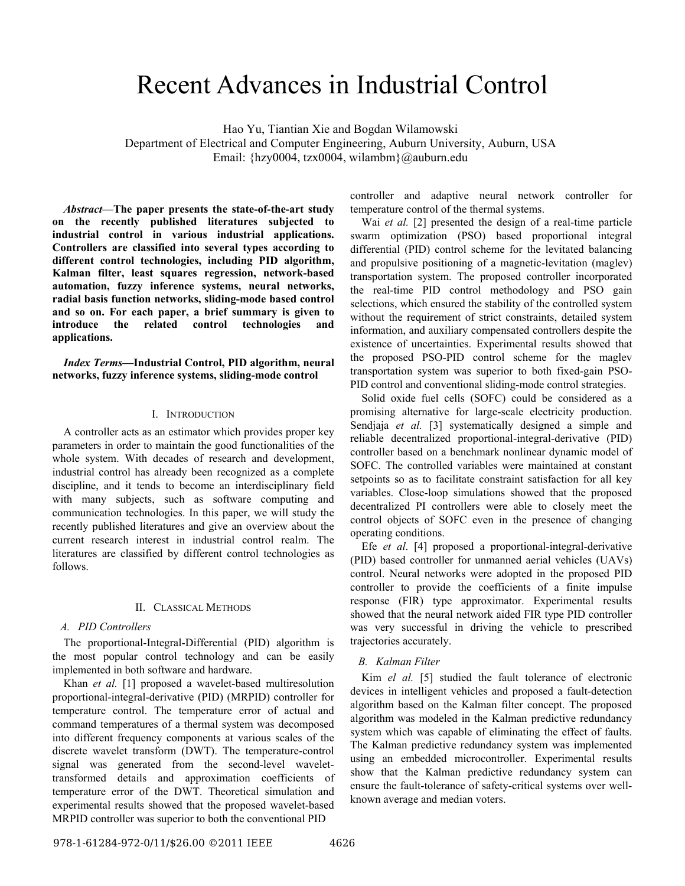# Recent Advances in Industrial Control

Hao Yu, Tiantian Xie and Bogdan Wilamowski

Department of Electrical and Computer Engineering, Auburn University, Auburn, USA Email: {hzy0004, tzx0004, wilambm}@auburn.edu

*Abstract***—The paper presents the state-of-the-art study on the recently published literatures subjected to industrial control in various industrial applications. Controllers are classified into several types according to different control technologies, including PID algorithm, Kalman filter, least squares regression, network-based automation, fuzzy inference systems, neural networks, radial basis function networks, sliding-mode based control and so on. For each paper, a brief summary is given to introduce the related control technologies and applications.** 

*Index Terms***—Industrial Control, PID algorithm, neural networks, fuzzy inference systems, sliding-mode control** 

#### I. INTRODUCTION

A controller acts as an estimator which provides proper key parameters in order to maintain the good functionalities of the whole system. With decades of research and development, industrial control has already been recognized as a complete discipline, and it tends to become an interdisciplinary field with many subjects, such as software computing and communication technologies. In this paper, we will study the recently published literatures and give an overview about the current research interest in industrial control realm. The literatures are classified by different control technologies as follows.

#### II. CLASSICAL METHODS

#### *A. PID Controllers*

The proportional-Integral-Differential (PID) algorithm is the most popular control technology and can be easily implemented in both software and hardware.

Khan *et al.* [1] proposed a wavelet-based multiresolution proportional-integral-derivative (PID) (MRPID) controller for temperature control. The temperature error of actual and command temperatures of a thermal system was decomposed into different frequency components at various scales of the discrete wavelet transform (DWT). The temperature-control signal was generated from the second-level wavelettransformed details and approximation coefficients of temperature error of the DWT. Theoretical simulation and experimental results showed that the proposed wavelet-based MRPID controller was superior to both the conventional PID

controller and adaptive neural network controller for temperature control of the thermal systems.

Wai *et al.* [2] presented the design of a real-time particle swarm optimization (PSO) based proportional integral differential (PID) control scheme for the levitated balancing and propulsive positioning of a magnetic-levitation (maglev) transportation system. The proposed controller incorporated the real-time PID control methodology and PSO gain selections, which ensured the stability of the controlled system without the requirement of strict constraints, detailed system information, and auxiliary compensated controllers despite the existence of uncertainties. Experimental results showed that the proposed PSO-PID control scheme for the maglev transportation system was superior to both fixed-gain PSO-PID control and conventional sliding-mode control strategies.

Solid oxide fuel cells (SOFC) could be considered as a promising alternative for large-scale electricity production. Sendjaja *et al.* [3] systematically designed a simple and reliable decentralized proportional-integral-derivative (PID) controller based on a benchmark nonlinear dynamic model of SOFC. The controlled variables were maintained at constant setpoints so as to facilitate constraint satisfaction for all key variables. Close-loop simulations showed that the proposed decentralized PI controllers were able to closely meet the control objects of SOFC even in the presence of changing operating conditions.

Efe *et al*. [4] proposed a proportional-integral-derivative (PID) based controller for unmanned aerial vehicles (UAVs) control. Neural networks were adopted in the proposed PID controller to provide the coefficients of a finite impulse response (FIR) type approximator. Experimental results showed that the neural network aided FIR type PID controller was very successful in driving the vehicle to prescribed trajectories accurately.

#### *B. Kalman Filter*

Kim *el al.* [5] studied the fault tolerance of electronic devices in intelligent vehicles and proposed a fault-detection algorithm based on the Kalman filter concept. The proposed algorithm was modeled in the Kalman predictive redundancy system which was capable of eliminating the effect of faults. The Kalman predictive redundancy system was implemented using an embedded microcontroller. Experimental results show that the Kalman predictive redundancy system can ensure the fault-tolerance of safety-critical systems over wellknown average and median voters.

978-1-61284-972-0/11/\$26.00 ©2011 IEEE 4626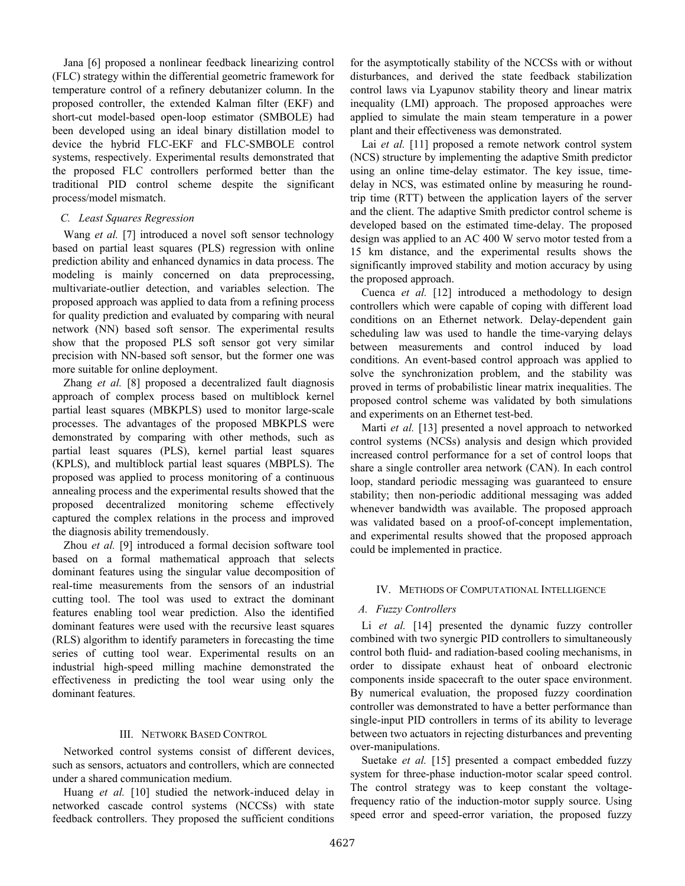Jana [6] proposed a nonlinear feedback linearizing control (FLC) strategy within the differential geometric framework for temperature control of a refinery debutanizer column. In the proposed controller, the extended Kalman filter (EKF) and short-cut model-based open-loop estimator (SMBOLE) had been developed using an ideal binary distillation model to device the hybrid FLC-EKF and FLC-SMBOLE control systems, respectively. Experimental results demonstrated that the proposed FLC controllers performed better than the traditional PID control scheme despite the significant process/model mismatch.

## *C. Least Squares Regression*

Wang *et al.* [7] introduced a novel soft sensor technology based on partial least squares (PLS) regression with online prediction ability and enhanced dynamics in data process. The modeling is mainly concerned on data preprocessing, multivariate-outlier detection, and variables selection. The proposed approach was applied to data from a refining process for quality prediction and evaluated by comparing with neural network (NN) based soft sensor. The experimental results show that the proposed PLS soft sensor got very similar precision with NN-based soft sensor, but the former one was more suitable for online deployment.

Zhang *et al.* [8] proposed a decentralized fault diagnosis approach of complex process based on multiblock kernel partial least squares (MBKPLS) used to monitor large-scale processes. The advantages of the proposed MBKPLS were demonstrated by comparing with other methods, such as partial least squares (PLS), kernel partial least squares (KPLS), and multiblock partial least squares (MBPLS). The proposed was applied to process monitoring of a continuous annealing process and the experimental results showed that the proposed decentralized monitoring scheme effectively captured the complex relations in the process and improved the diagnosis ability tremendously.

Zhou *et al.* [9] introduced a formal decision software tool based on a formal mathematical approach that selects dominant features using the singular value decomposition of real-time measurements from the sensors of an industrial cutting tool. The tool was used to extract the dominant features enabling tool wear prediction. Also the identified dominant features were used with the recursive least squares (RLS) algorithm to identify parameters in forecasting the time series of cutting tool wear. Experimental results on an industrial high-speed milling machine demonstrated the effectiveness in predicting the tool wear using only the dominant features.

### III. NETWORK BASED CONTROL

Networked control systems consist of different devices, such as sensors, actuators and controllers, which are connected under a shared communication medium.

Huang *et al.* [10] studied the network-induced delay in networked cascade control systems (NCCSs) with state feedback controllers. They proposed the sufficient conditions

for the asymptotically stability of the NCCSs with or without disturbances, and derived the state feedback stabilization control laws via Lyapunov stability theory and linear matrix inequality (LMI) approach. The proposed approaches were applied to simulate the main steam temperature in a power plant and their effectiveness was demonstrated.

Lai *et al.* [11] proposed a remote network control system (NCS) structure by implementing the adaptive Smith predictor using an online time-delay estimator. The key issue, timedelay in NCS, was estimated online by measuring he roundtrip time (RTT) between the application layers of the server and the client. The adaptive Smith predictor control scheme is developed based on the estimated time-delay. The proposed design was applied to an AC 400 W servo motor tested from a 15 km distance, and the experimental results shows the significantly improved stability and motion accuracy by using the proposed approach.

Cuenca *et al.* [12] introduced a methodology to design controllers which were capable of coping with different load conditions on an Ethernet network. Delay-dependent gain scheduling law was used to handle the time-varying delays between measurements and control induced by load conditions. An event-based control approach was applied to solve the synchronization problem, and the stability was proved in terms of probabilistic linear matrix inequalities. The proposed control scheme was validated by both simulations and experiments on an Ethernet test-bed.

Marti *et al.* [13] presented a novel approach to networked control systems (NCSs) analysis and design which provided increased control performance for a set of control loops that share a single controller area network (CAN). In each control loop, standard periodic messaging was guaranteed to ensure stability; then non-periodic additional messaging was added whenever bandwidth was available. The proposed approach was validated based on a proof-of-concept implementation, and experimental results showed that the proposed approach could be implemented in practice.

### IV. METHODS OF COMPUTATIONAL INTELLIGENCE

### *A. Fuzzy Controllers*

Li *et al.* [14] presented the dynamic fuzzy controller combined with two synergic PID controllers to simultaneously control both fluid- and radiation-based cooling mechanisms, in order to dissipate exhaust heat of onboard electronic components inside spacecraft to the outer space environment. By numerical evaluation, the proposed fuzzy coordination controller was demonstrated to have a better performance than single-input PID controllers in terms of its ability to leverage between two actuators in rejecting disturbances and preventing over-manipulations.

Suetake *et al.* [15] presented a compact embedded fuzzy system for three-phase induction-motor scalar speed control. The control strategy was to keep constant the voltagefrequency ratio of the induction-motor supply source. Using speed error and speed-error variation, the proposed fuzzy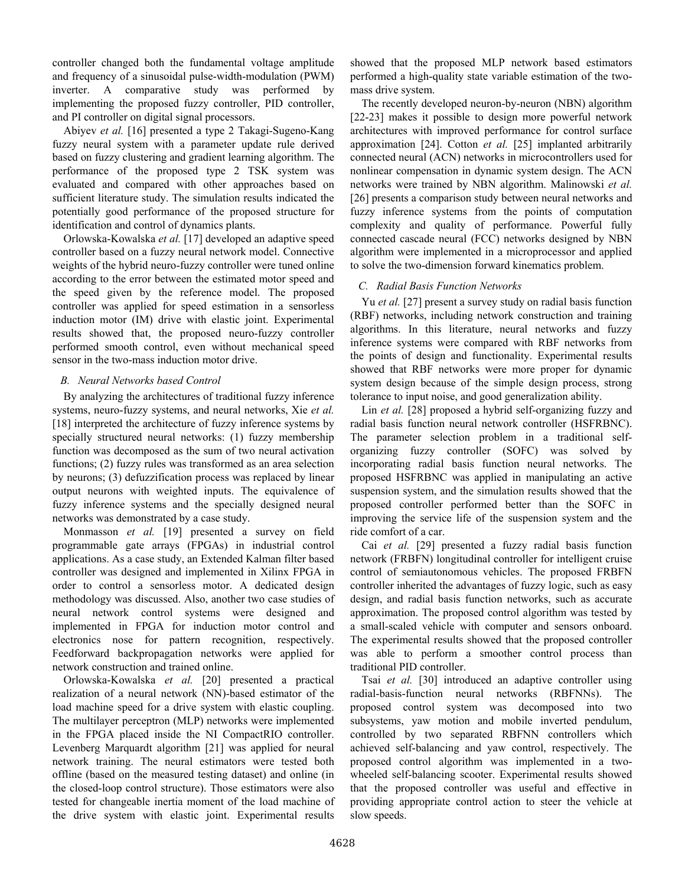controller changed both the fundamental voltage amplitude and frequency of a sinusoidal pulse-width-modulation (PWM) inverter. A comparative study was performed by implementing the proposed fuzzy controller, PID controller, and PI controller on digital signal processors.

Abiyev *et al.* [16] presented a type 2 Takagi-Sugeno-Kang fuzzy neural system with a parameter update rule derived based on fuzzy clustering and gradient learning algorithm. The performance of the proposed type 2 TSK system was evaluated and compared with other approaches based on sufficient literature study. The simulation results indicated the potentially good performance of the proposed structure for identification and control of dynamics plants.

Orlowska-Kowalska *et al.* [17] developed an adaptive speed controller based on a fuzzy neural network model. Connective weights of the hybrid neuro-fuzzy controller were tuned online according to the error between the estimated motor speed and the speed given by the reference model. The proposed controller was applied for speed estimation in a sensorless induction motor (IM) drive with elastic joint. Experimental results showed that, the proposed neuro-fuzzy controller performed smooth control, even without mechanical speed sensor in the two-mass induction motor drive.

## *B. Neural Networks based Control*

By analyzing the architectures of traditional fuzzy inference systems, neuro-fuzzy systems, and neural networks, Xie *et al.* [18] interpreted the architecture of fuzzy inference systems by specially structured neural networks: (1) fuzzy membership function was decomposed as the sum of two neural activation functions; (2) fuzzy rules was transformed as an area selection by neurons; (3) defuzzification process was replaced by linear output neurons with weighted inputs. The equivalence of fuzzy inference systems and the specially designed neural networks was demonstrated by a case study.

Monmasson *et al.* [19] presented a survey on field programmable gate arrays (FPGAs) in industrial control applications. As a case study, an Extended Kalman filter based controller was designed and implemented in Xilinx FPGA in order to control a sensorless motor. A dedicated design methodology was discussed. Also, another two case studies of neural network control systems were designed and implemented in FPGA for induction motor control and electronics nose for pattern recognition, respectively. Feedforward backpropagation networks were applied for network construction and trained online.

Orlowska-Kowalska *et al.* [20] presented a practical realization of a neural network (NN)-based estimator of the load machine speed for a drive system with elastic coupling. The multilayer perceptron (MLP) networks were implemented in the FPGA placed inside the NI CompactRIO controller. Levenberg Marquardt algorithm [21] was applied for neural network training. The neural estimators were tested both offline (based on the measured testing dataset) and online (in the closed-loop control structure). Those estimators were also tested for changeable inertia moment of the load machine of the drive system with elastic joint. Experimental results

showed that the proposed MLP network based estimators performed a high-quality state variable estimation of the twomass drive system.

The recently developed neuron-by-neuron (NBN) algorithm [22-23] makes it possible to design more powerful network architectures with improved performance for control surface approximation [24]. Cotton *et al.* [25] implanted arbitrarily connected neural (ACN) networks in microcontrollers used for nonlinear compensation in dynamic system design. The ACN networks were trained by NBN algorithm. Malinowski *et al.* [26] presents a comparison study between neural networks and fuzzy inference systems from the points of computation complexity and quality of performance. Powerful fully connected cascade neural (FCC) networks designed by NBN algorithm were implemented in a microprocessor and applied to solve the two-dimension forward kinematics problem.

# *C. Radial Basis Function Networks*

Yu *et al.* [27] present a survey study on radial basis function (RBF) networks, including network construction and training algorithms. In this literature, neural networks and fuzzy inference systems were compared with RBF networks from the points of design and functionality. Experimental results showed that RBF networks were more proper for dynamic system design because of the simple design process, strong tolerance to input noise, and good generalization ability.

Lin *et al.* [28] proposed a hybrid self-organizing fuzzy and radial basis function neural network controller (HSFRBNC). The parameter selection problem in a traditional selforganizing fuzzy controller (SOFC) was solved by incorporating radial basis function neural networks. The proposed HSFRBNC was applied in manipulating an active suspension system, and the simulation results showed that the proposed controller performed better than the SOFC in improving the service life of the suspension system and the ride comfort of a car.

Cai *et al.* [29] presented a fuzzy radial basis function network (FRBFN) longitudinal controller for intelligent cruise control of semiautonomous vehicles. The proposed FRBFN controller inherited the advantages of fuzzy logic, such as easy design, and radial basis function networks, such as accurate approximation. The proposed control algorithm was tested by a small-scaled vehicle with computer and sensors onboard. The experimental results showed that the proposed controller was able to perform a smoother control process than traditional PID controller.

Tsai *et al.* [30] introduced an adaptive controller using radial-basis-function neural networks (RBFNNs). The proposed control system was decomposed into two subsystems, yaw motion and mobile inverted pendulum, controlled by two separated RBFNN controllers which achieved self-balancing and yaw control, respectively. The proposed control algorithm was implemented in a twowheeled self-balancing scooter. Experimental results showed that the proposed controller was useful and effective in providing appropriate control action to steer the vehicle at slow speeds.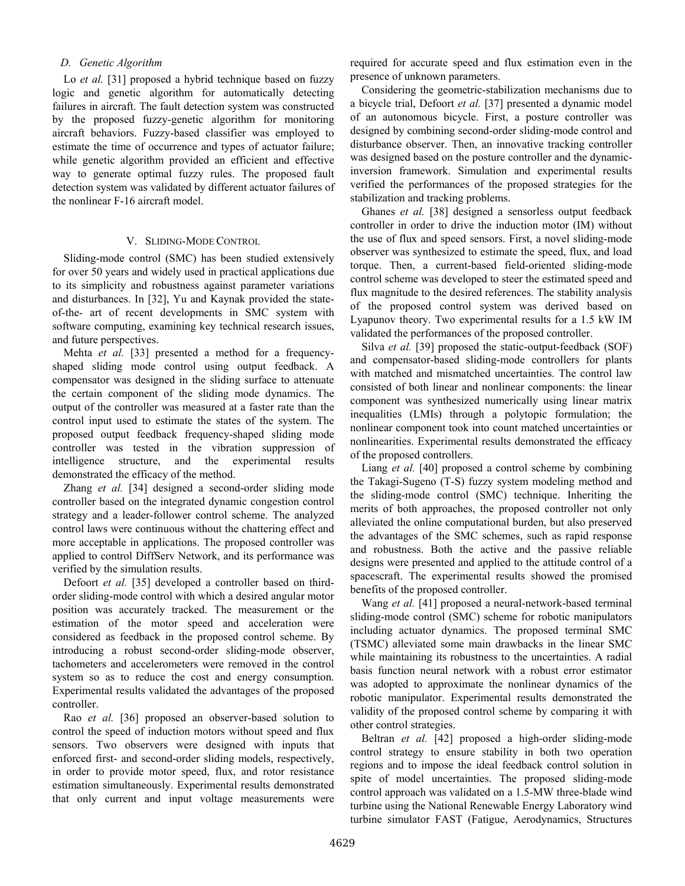## *D. Genetic Algorithm*

Lo *et al.* [31] proposed a hybrid technique based on fuzzy logic and genetic algorithm for automatically detecting failures in aircraft. The fault detection system was constructed by the proposed fuzzy-genetic algorithm for monitoring aircraft behaviors. Fuzzy-based classifier was employed to estimate the time of occurrence and types of actuator failure; while genetic algorithm provided an efficient and effective way to generate optimal fuzzy rules. The proposed fault detection system was validated by different actuator failures of the nonlinear F-16 aircraft model.

#### V. SLIDING-MODE CONTROL

Sliding-mode control (SMC) has been studied extensively for over 50 years and widely used in practical applications due to its simplicity and robustness against parameter variations and disturbances. In [32], Yu and Kaynak provided the stateof-the- art of recent developments in SMC system with software computing, examining key technical research issues, and future perspectives.

Mehta *et al.* [33] presented a method for a frequencyshaped sliding mode control using output feedback. A compensator was designed in the sliding surface to attenuate the certain component of the sliding mode dynamics. The output of the controller was measured at a faster rate than the control input used to estimate the states of the system. The proposed output feedback frequency-shaped sliding mode controller was tested in the vibration suppression of intelligence structure, and the experimental results demonstrated the efficacy of the method.

Zhang *et al.* [34] designed a second-order sliding mode controller based on the integrated dynamic congestion control strategy and a leader-follower control scheme. The analyzed control laws were continuous without the chattering effect and more acceptable in applications. The proposed controller was applied to control DiffServ Network, and its performance was verified by the simulation results.

Defoort *et al.* [35] developed a controller based on thirdorder sliding-mode control with which a desired angular motor position was accurately tracked. The measurement or the estimation of the motor speed and acceleration were considered as feedback in the proposed control scheme. By introducing a robust second-order sliding-mode observer, tachometers and accelerometers were removed in the control system so as to reduce the cost and energy consumption. Experimental results validated the advantages of the proposed controller.

Rao *et al.* [36] proposed an observer-based solution to control the speed of induction motors without speed and flux sensors. Two observers were designed with inputs that enforced first- and second-order sliding models, respectively, in order to provide motor speed, flux, and rotor resistance estimation simultaneously. Experimental results demonstrated that only current and input voltage measurements were

required for accurate speed and flux estimation even in the presence of unknown parameters.

Considering the geometric-stabilization mechanisms due to a bicycle trial, Defoort *et al.* [37] presented a dynamic model of an autonomous bicycle. First, a posture controller was designed by combining second-order sliding-mode control and disturbance observer. Then, an innovative tracking controller was designed based on the posture controller and the dynamicinversion framework. Simulation and experimental results verified the performances of the proposed strategies for the stabilization and tracking problems.

Ghanes *et al.* [38] designed a sensorless output feedback controller in order to drive the induction motor (IM) without the use of flux and speed sensors. First, a novel sliding-mode observer was synthesized to estimate the speed, flux, and load torque. Then, a current-based field-oriented sliding-mode control scheme was developed to steer the estimated speed and flux magnitude to the desired references. The stability analysis of the proposed control system was derived based on Lyapunov theory. Two experimental results for a 1.5 kW IM validated the performances of the proposed controller.

Silva *et al.* [39] proposed the static-output-feedback (SOF) and compensator-based sliding-mode controllers for plants with matched and mismatched uncertainties. The control law consisted of both linear and nonlinear components: the linear component was synthesized numerically using linear matrix inequalities (LMIs) through a polytopic formulation; the nonlinear component took into count matched uncertainties or nonlinearities. Experimental results demonstrated the efficacy of the proposed controllers.

Liang *et al.* [40] proposed a control scheme by combining the Takagi-Sugeno (T-S) fuzzy system modeling method and the sliding-mode control (SMC) technique. Inheriting the merits of both approaches, the proposed controller not only alleviated the online computational burden, but also preserved the advantages of the SMC schemes, such as rapid response and robustness. Both the active and the passive reliable designs were presented and applied to the attitude control of a spacescraft. The experimental results showed the promised benefits of the proposed controller.

Wang *et al.* [41] proposed a neural-network-based terminal sliding-mode control (SMC) scheme for robotic manipulators including actuator dynamics. The proposed terminal SMC (TSMC) alleviated some main drawbacks in the linear SMC while maintaining its robustness to the uncertainties. A radial basis function neural network with a robust error estimator was adopted to approximate the nonlinear dynamics of the robotic manipulator. Experimental results demonstrated the validity of the proposed control scheme by comparing it with other control strategies.

Beltran *et al.* [42] proposed a high-order sliding-mode control strategy to ensure stability in both two operation regions and to impose the ideal feedback control solution in spite of model uncertainties. The proposed sliding-mode control approach was validated on a 1.5-MW three-blade wind turbine using the National Renewable Energy Laboratory wind turbine simulator FAST (Fatigue, Aerodynamics, Structures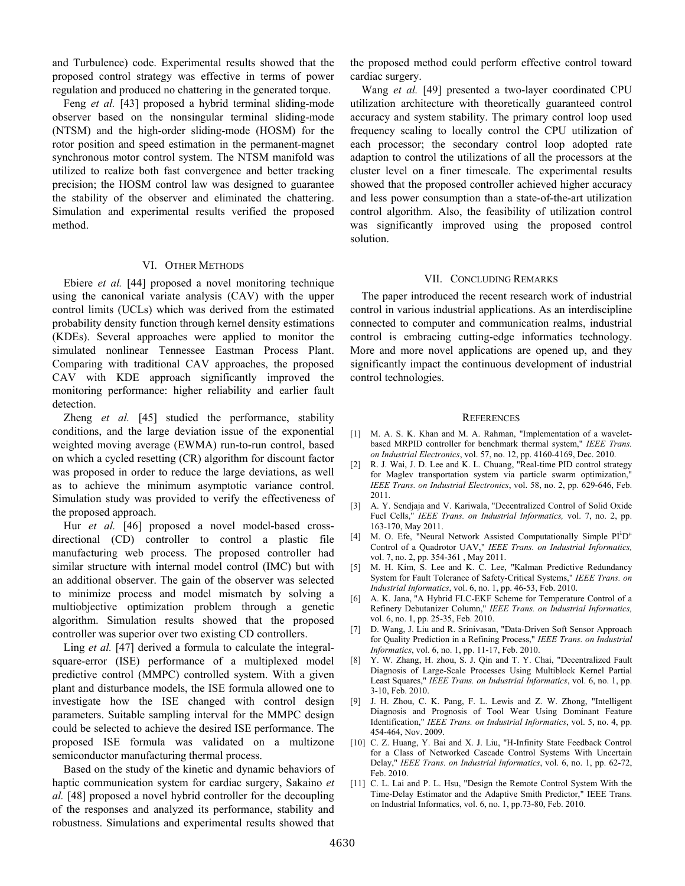and Turbulence) code. Experimental results showed that the proposed control strategy was effective in terms of power regulation and produced no chattering in the generated torque.

Feng *et al.* [43] proposed a hybrid terminal sliding-mode observer based on the nonsingular terminal sliding-mode (NTSM) and the high-order sliding-mode (HOSM) for the rotor position and speed estimation in the permanent-magnet synchronous motor control system. The NTSM manifold was utilized to realize both fast convergence and better tracking precision; the HOSM control law was designed to guarantee the stability of the observer and eliminated the chattering. Simulation and experimental results verified the proposed method.

#### VI. OTHER METHODS

Ebiere *et al.* [44] proposed a novel monitoring technique using the canonical variate analysis (CAV) with the upper control limits (UCLs) which was derived from the estimated probability density function through kernel density estimations (KDEs). Several approaches were applied to monitor the simulated nonlinear Tennessee Eastman Process Plant. Comparing with traditional CAV approaches, the proposed CAV with KDE approach significantly improved the monitoring performance: higher reliability and earlier fault detection.

Zheng *et al.* [45] studied the performance, stability conditions, and the large deviation issue of the exponential weighted moving average (EWMA) run-to-run control, based on which a cycled resetting (CR) algorithm for discount factor was proposed in order to reduce the large deviations, as well as to achieve the minimum asymptotic variance control. Simulation study was provided to verify the effectiveness of the proposed approach.

Hur et al. [46] proposed a novel model-based crossdirectional (CD) controller to control a plastic file manufacturing web process. The proposed controller had similar structure with internal model control (IMC) but with an additional observer. The gain of the observer was selected to minimize process and model mismatch by solving a multiobjective optimization problem through a genetic algorithm. Simulation results showed that the proposed controller was superior over two existing CD controllers.

Ling *et al.* [47] derived a formula to calculate the integralsquare-error (ISE) performance of a multiplexed model predictive control (MMPC) controlled system. With a given plant and disturbance models, the ISE formula allowed one to investigate how the ISE changed with control design parameters. Suitable sampling interval for the MMPC design could be selected to achieve the desired ISE performance. The proposed ISE formula was validated on a multizone semiconductor manufacturing thermal process.

Based on the study of the kinetic and dynamic behaviors of haptic communication system for cardiac surgery, Sakaino *et al.* [48] proposed a novel hybrid controller for the decoupling of the responses and analyzed its performance, stability and robustness. Simulations and experimental results showed that

the proposed method could perform effective control toward cardiac surgery.

Wang *et al.* [49] presented a two-layer coordinated CPU utilization architecture with theoretically guaranteed control accuracy and system stability. The primary control loop used frequency scaling to locally control the CPU utilization of each processor; the secondary control loop adopted rate adaption to control the utilizations of all the processors at the cluster level on a finer timescale. The experimental results showed that the proposed controller achieved higher accuracy and less power consumption than a state-of-the-art utilization control algorithm. Also, the feasibility of utilization control was significantly improved using the proposed control solution.

#### VII. CONCLUDING REMARKS

The paper introduced the recent research work of industrial control in various industrial applications. As an interdiscipline connected to computer and communication realms, industrial control is embracing cutting-edge informatics technology. More and more novel applications are opened up, and they significantly impact the continuous development of industrial control technologies.

#### **REFERENCES**

- [1] M. A. S. K. Khan and M. A. Rahman, "Implementation of a waveletbased MRPID controller for benchmark thermal system," *IEEE Trans. on Industrial Electronics*, vol. 57, no. 12, pp. 4160-4169, Dec. 2010.
- [2] R. J. Wai, J. D. Lee and K. L. Chuang, "Real-time PID control strategy for Maglev transportation system via particle swarm optimization," *IEEE Trans. on Industrial Electronics*, vol. 58, no. 2, pp. 629-646, Feb. 2011.
- [3] A. Y. Sendjaja and V. Kariwala, "Decentralized Control of Solid Oxide Fuel Cells," *IEEE Trans. on Industrial Informatics,* vol. 7, no. 2, pp. 163-170, May 2011.
- [4] M. O. Efe, "Neural Network Assisted Computationally Simple PI<sup> $\lambda$ </sup>D<sup>"</sup> Control of a Quadrotor UAV," *IEEE Trans. on Industrial Informatics,* vol. 7, no. 2, pp. 354-361 , May 2011.
- [5] M. H. Kim, S. Lee and K. C. Lee, "Kalman Predictive Redundancy System for Fault Tolerance of Safety-Critical Systems," *IEEE Trans. on Industrial Informatics*, vol. 6, no. 1, pp. 46-53, Feb. 2010.
- [6] A. K. Jana, "A Hybrid FLC-EKF Scheme for Temperature Control of a Refinery Debutanizer Column," *IEEE Trans. on Industrial Informatics,* vol. 6, no. 1, pp. 25-35, Feb. 2010.
- [7] D. Wang, J. Liu and R. Srinivasan, "Data-Driven Soft Sensor Approach for Quality Prediction in a Refining Process," *IEEE Trans. on Industrial Informatics*, vol. 6, no. 1, pp. 11-17, Feb. 2010.
- [8] Y. W. Zhang, H. zhou, S. J. Qin and T. Y. Chai, "Decentralized Fault Diagnosis of Large-Scale Processes Using Multiblock Kernel Partial Least Squares," *IEEE Trans. on Industrial Informatics*, vol. 6, no. 1, pp. 3-10, Feb. 2010.
- [9] J. H. Zhou, C. K. Pang, F. L. Lewis and Z. W. Zhong, "Intelligent Diagnosis and Prognosis of Tool Wear Using Dominant Feature Identification," *IEEE Trans. on Industrial Informatics*, vol. 5, no. 4, pp. 454-464, Nov. 2009.
- [10] C. Z. Huang, Y. Bai and X. J. Liu, "H-Infinity State Feedback Control for a Class of Networked Cascade Control Systems With Uncertain Delay," *IEEE Trans. on Industrial Informatics*, vol. 6, no. 1, pp. 62-72, Feb. 2010.
- [11] C. L. Lai and P. L. Hsu, "Design the Remote Control System With the Time-Delay Estimator and the Adaptive Smith Predictor," IEEE Trans. on Industrial Informatics, vol. 6, no. 1, pp.73-80, Feb. 2010.